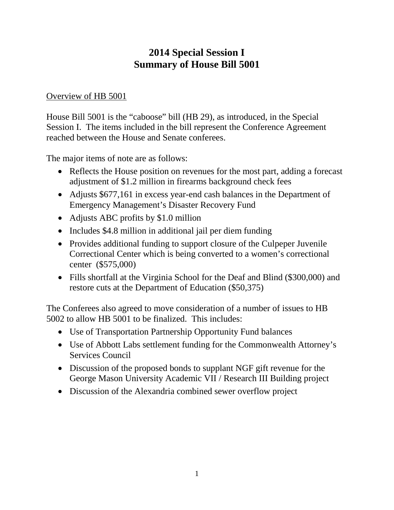# **2014 Special Session I Summary of House Bill 5001**

### Overview of HB 5001

House Bill 5001 is the "caboose" bill (HB 29), as introduced, in the Special Session I. The items included in the bill represent the Conference Agreement reached between the House and Senate conferees.

The major items of note are as follows:

- Reflects the House position on revenues for the most part, adding a forecast adjustment of \$1.2 million in firearms background check fees
- Adjusts \$677,161 in excess year-end cash balances in the Department of Emergency Management's Disaster Recovery Fund
- Adjusts ABC profits by \$1.0 million
- Includes \$4.8 million in additional jail per diem funding
- Provides additional funding to support closure of the Culpeper Juvenile Correctional Center which is being converted to a women's correctional center (\$575,000)
- Fills shortfall at the Virginia School for the Deaf and Blind (\$300,000) and restore cuts at the Department of Education (\$50,375)

The Conferees also agreed to move consideration of a number of issues to HB 5002 to allow HB 5001 to be finalized. This includes:

- Use of Transportation Partnership Opportunity Fund balances
- Use of Abbott Labs settlement funding for the Commonwealth Attorney's Services Council
- Discussion of the proposed bonds to supplant NGF gift revenue for the George Mason University Academic VII / Research III Building project
- Discussion of the Alexandria combined sewer overflow project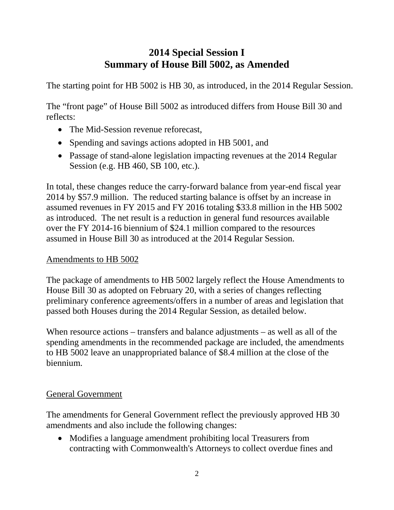# **2014 Special Session I Summary of House Bill 5002, as Amended**

The starting point for HB 5002 is HB 30, as introduced, in the 2014 Regular Session.

The "front page" of House Bill 5002 as introduced differs from House Bill 30 and reflects:

- The Mid-Session revenue reforecast,
- Spending and savings actions adopted in HB 5001, and
- Passage of stand-alone legislation impacting revenues at the 2014 Regular Session (e.g. HB 460, SB 100, etc.).

In total, these changes reduce the carry-forward balance from year-end fiscal year 2014 by \$57.9 million. The reduced starting balance is offset by an increase in assumed revenues in FY 2015 and FY 2016 totaling \$33.8 million in the HB 5002 as introduced. The net result is a reduction in general fund resources available over the FY 2014-16 biennium of \$24.1 million compared to the resources assumed in House Bill 30 as introduced at the 2014 Regular Session.

## Amendments to HB 5002

The package of amendments to HB 5002 largely reflect the House Amendments to House Bill 30 as adopted on February 20, with a series of changes reflecting preliminary conference agreements/offers in a number of areas and legislation that passed both Houses during the 2014 Regular Session, as detailed below.

When resource actions – transfers and balance adjustments – as well as all of the spending amendments in the recommended package are included, the amendments to HB 5002 leave an unappropriated balance of \$8.4 million at the close of the biennium.

## General Government

The amendments for General Government reflect the previously approved HB 30 amendments and also include the following changes:

• Modifies a language amendment prohibiting local Treasurers from contracting with Commonwealth's Attorneys to collect overdue fines and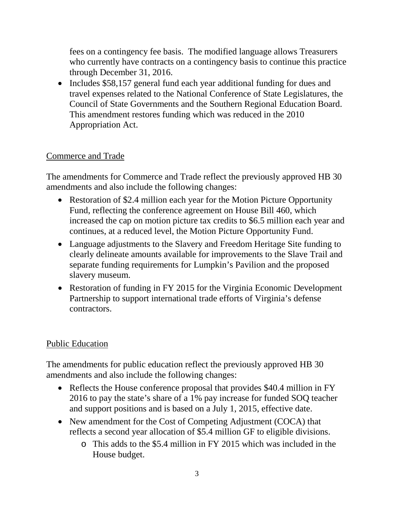fees on a contingency fee basis. The modified language allows Treasurers who currently have contracts on a contingency basis to continue this practice through December 31, 2016.

• Includes \$58,157 general fund each year additional funding for dues and travel expenses related to the National Conference of State Legislatures, the Council of State Governments and the Southern Regional Education Board. This amendment restores funding which was reduced in the 2010 Appropriation Act.

### Commerce and Trade

The amendments for Commerce and Trade reflect the previously approved HB 30 amendments and also include the following changes:

- Restoration of \$2.4 million each year for the Motion Picture Opportunity Fund, reflecting the conference agreement on House Bill 460, which increased the cap on motion picture tax credits to \$6.5 million each year and continues, at a reduced level, the Motion Picture Opportunity Fund.
- Language adjustments to the Slavery and Freedom Heritage Site funding to clearly delineate amounts available for improvements to the Slave Trail and separate funding requirements for Lumpkin's Pavilion and the proposed slavery museum.
- Restoration of funding in FY 2015 for the Virginia Economic Development Partnership to support international trade efforts of Virginia's defense contractors.

#### Public Education

The amendments for public education reflect the previously approved HB 30 amendments and also include the following changes:

- Reflects the House conference proposal that provides \$40.4 million in FY 2016 to pay the state's share of a 1% pay increase for funded SOQ teacher and support positions and is based on a July 1, 2015, effective date.
- New amendment for the Cost of Competing Adjustment (COCA) that reflects a second year allocation of \$5.4 million GF to eligible divisions.
	- o This adds to the \$5.4 million in FY 2015 which was included in the House budget.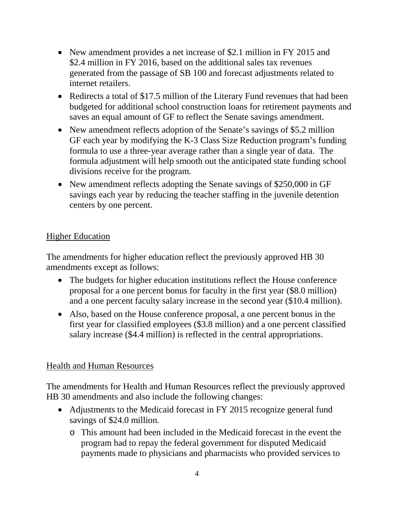- New amendment provides a net increase of \$2.1 million in FY 2015 and \$2.4 million in FY 2016, based on the additional sales tax revenues generated from the passage of SB 100 and forecast adjustments related to internet retailers.
- Redirects a total of \$17.5 million of the Literary Fund revenues that had been budgeted for additional school construction loans for retirement payments and saves an equal amount of GF to reflect the Senate savings amendment.
- New amendment reflects adoption of the Senate's savings of \$5.2 million GF each year by modifying the K-3 Class Size Reduction program's funding formula to use a three-year average rather than a single year of data. The formula adjustment will help smooth out the anticipated state funding school divisions receive for the program.
- New amendment reflects adopting the Senate savings of \$250,000 in GF savings each year by reducing the teacher staffing in the juvenile detention centers by one percent.

### Higher Education

The amendments for higher education reflect the previously approved HB 30 amendments except as follows:

- The budgets for higher education institutions reflect the House conference proposal for a one percent bonus for faculty in the first year (\$8.0 million) and a one percent faculty salary increase in the second year (\$10.4 million).
- Also, based on the House conference proposal, a one percent bonus in the first year for classified employees (\$3.8 million) and a one percent classified salary increase (\$4.4 million) is reflected in the central appropriations.

#### Health and Human Resources

The amendments for Health and Human Resources reflect the previously approved HB 30 amendments and also include the following changes:

- Adjustments to the Medicaid forecast in FY 2015 recognize general fund savings of \$24.0 million.
	- o This amount had been included in the Medicaid forecast in the event the program had to repay the federal government for disputed Medicaid payments made to physicians and pharmacists who provided services to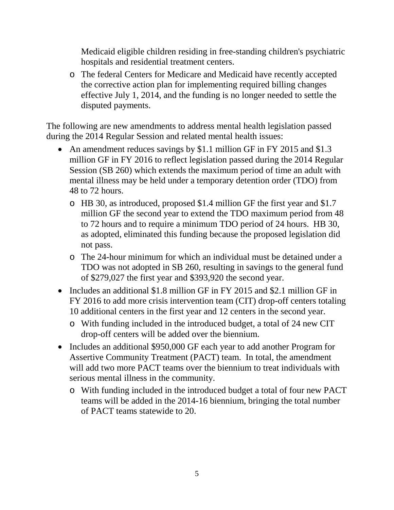Medicaid eligible children residing in free-standing children's psychiatric hospitals and residential treatment centers.

o The federal Centers for Medicare and Medicaid have recently accepted the corrective action plan for implementing required billing changes effective July 1, 2014, and the funding is no longer needed to settle the disputed payments.

The following are new amendments to address mental health legislation passed during the 2014 Regular Session and related mental health issues:

- An amendment reduces savings by \$1.1 million GF in FY 2015 and \$1.3 million GF in FY 2016 to reflect legislation passed during the 2014 Regular Session (SB 260) which extends the maximum period of time an adult with mental illness may be held under a temporary detention order (TDO) from 48 to 72 hours.
	- o HB 30, as introduced, proposed \$1.4 million GF the first year and \$1.7 million GF the second year to extend the TDO maximum period from 48 to 72 hours and to require a minimum TDO period of 24 hours. HB 30, as adopted, eliminated this funding because the proposed legislation did not pass.
	- o The 24-hour minimum for which an individual must be detained under a TDO was not adopted in SB 260, resulting in savings to the general fund of \$279,027 the first year and \$393,920 the second year.
- Includes an additional \$1.8 million GF in FY 2015 and \$2.1 million GF in FY 2016 to add more crisis intervention team (CIT) drop-off centers totaling 10 additional centers in the first year and 12 centers in the second year.
	- o With funding included in the introduced budget, a total of 24 new CIT drop-off centers will be added over the biennium.
- Includes an additional \$950,000 GF each year to add another Program for Assertive Community Treatment (PACT) team. In total, the amendment will add two more PACT teams over the biennium to treat individuals with serious mental illness in the community.
	- o With funding included in the introduced budget a total of four new PACT teams will be added in the 2014-16 biennium, bringing the total number of PACT teams statewide to 20.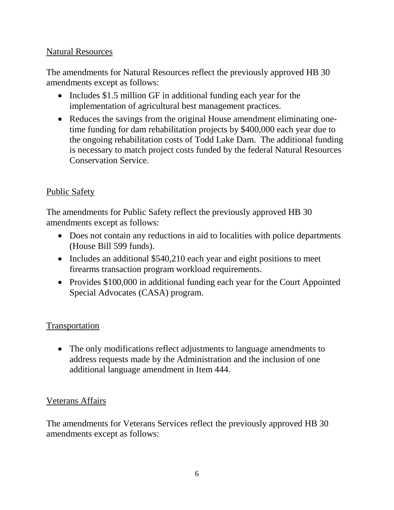### Natural Resources

The amendments for Natural Resources reflect the previously approved HB 30 amendments except as follows:

- Includes \$1.5 million GF in additional funding each year for the implementation of agricultural best management practices.
- Reduces the savings from the original House amendment eliminating onetime funding for dam rehabilitation projects by \$400,000 each year due to the ongoing rehabilitation costs of Todd Lake Dam. The additional funding is necessary to match project costs funded by the federal Natural Resources Conservation Service.

## Public Safety

The amendments for Public Safety reflect the previously approved HB 30 amendments except as follows:

- Does not contain any reductions in aid to localities with police departments (House Bill 599 funds).
- Includes an additional \$540,210 each year and eight positions to meet firearms transaction program workload requirements.
- Provides \$100,000 in additional funding each year for the Court Appointed Special Advocates (CASA) program.

## Transportation

• The only modifications reflect adjustments to language amendments to address requests made by the Administration and the inclusion of one additional language amendment in Item 444.

### Veterans Affairs

The amendments for Veterans Services reflect the previously approved HB 30 amendments except as follows: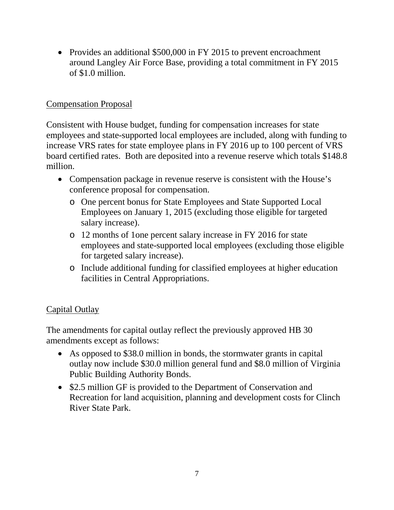• Provides an additional \$500,000 in FY 2015 to prevent encroachment around Langley Air Force Base, providing a total commitment in FY 2015 of \$1.0 million.

## Compensation Proposal

Consistent with House budget, funding for compensation increases for state employees and state-supported local employees are included, along with funding to increase VRS rates for state employee plans in FY 2016 up to 100 percent of VRS board certified rates. Both are deposited into a revenue reserve which totals \$148.8 million.

- Compensation package in revenue reserve is consistent with the House's conference proposal for compensation.
	- o One percent bonus for State Employees and State Supported Local Employees on January 1, 2015 (excluding those eligible for targeted salary increase).
	- o 12 months of 1one percent salary increase in FY 2016 for state employees and state-supported local employees (excluding those eligible for targeted salary increase).
	- o Include additional funding for classified employees at higher education facilities in Central Appropriations.

## Capital Outlay

The amendments for capital outlay reflect the previously approved HB 30 amendments except as follows:

- As opposed to \$38.0 million in bonds, the stormwater grants in capital outlay now include \$30.0 million general fund and \$8.0 million of Virginia Public Building Authority Bonds.
- \$2.5 million GF is provided to the Department of Conservation and Recreation for land acquisition, planning and development costs for Clinch River State Park.